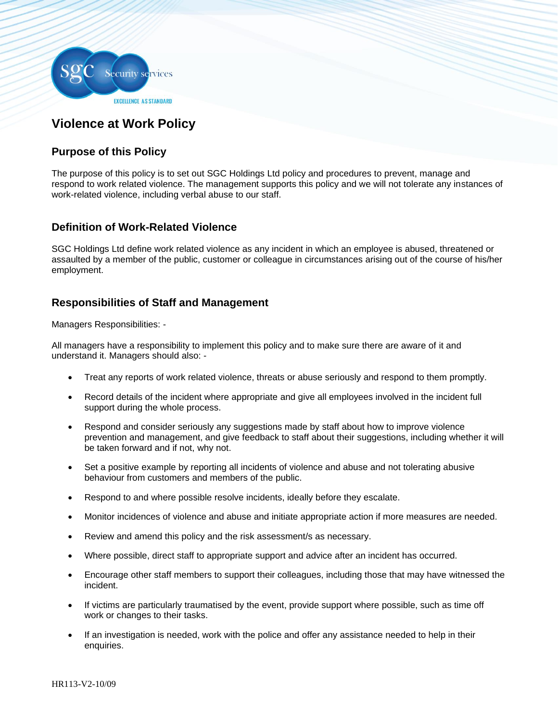

# **Violence at Work Policy**

# **Purpose of this Policy**

The purpose of this policy is to set out SGC Holdings Ltd policy and procedures to prevent, manage and respond to work related violence. The management supports this policy and we will not tolerate any instances of work-related violence, including verbal abuse to our staff.

## **Definition of Work-Related Violence**

SGC Holdings Ltd define work related violence as any incident in which an employee is abused, threatened or assaulted by a member of the public, customer or colleague in circumstances arising out of the course of his/her employment.

## **Responsibilities of Staff and Management**

Managers Responsibilities: -

All managers have a responsibility to implement this policy and to make sure there are aware of it and understand it. Managers should also: -

- Treat any reports of work related violence, threats or abuse seriously and respond to them promptly.
- Record details of the incident where appropriate and give all employees involved in the incident full support during the whole process.
- Respond and consider seriously any suggestions made by staff about how to improve violence prevention and management, and give feedback to staff about their suggestions, including whether it will be taken forward and if not, why not.
- Set a positive example by reporting all incidents of violence and abuse and not tolerating abusive behaviour from customers and members of the public.
- Respond to and where possible resolve incidents, ideally before they escalate.
- Monitor incidences of violence and abuse and initiate appropriate action if more measures are needed.
- Review and amend this policy and the risk assessment/s as necessary.
- Where possible, direct staff to appropriate support and advice after an incident has occurred.
- Encourage other staff members to support their colleagues, including those that may have witnessed the incident.
- If victims are particularly traumatised by the event, provide support where possible, such as time off work or changes to their tasks.
- If an investigation is needed, work with the police and offer any assistance needed to help in their enquiries.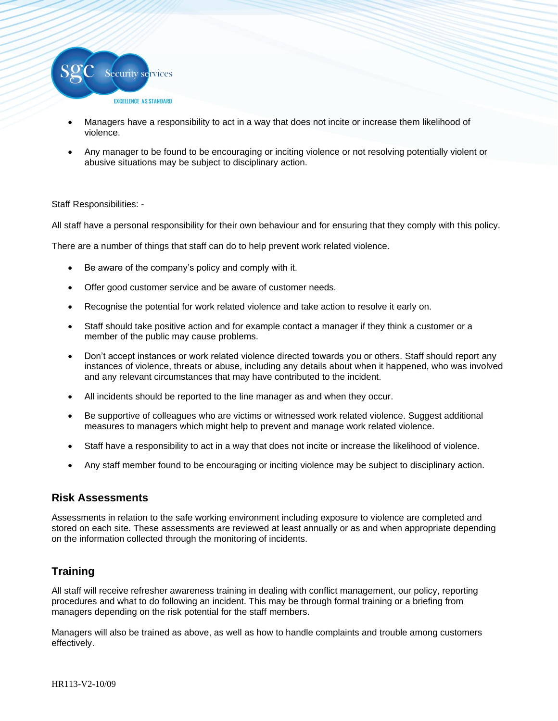

- Managers have a responsibility to act in a way that does not incite or increase them likelihood of violence.
- Any manager to be found to be encouraging or inciting violence or not resolving potentially violent or abusive situations may be subject to disciplinary action.

#### Staff Responsibilities: -

All staff have a personal responsibility for their own behaviour and for ensuring that they comply with this policy.

There are a number of things that staff can do to help prevent work related violence.

- Be aware of the company's policy and comply with it.
- Offer good customer service and be aware of customer needs.
- Recognise the potential for work related violence and take action to resolve it early on.
- Staff should take positive action and for example contact a manager if they think a customer or a member of the public may cause problems.
- Don't accept instances or work related violence directed towards you or others. Staff should report any instances of violence, threats or abuse, including any details about when it happened, who was involved and any relevant circumstances that may have contributed to the incident.
- All incidents should be reported to the line manager as and when they occur.
- Be supportive of colleagues who are victims or witnessed work related violence. Suggest additional measures to managers which might help to prevent and manage work related violence.
- Staff have a responsibility to act in a way that does not incite or increase the likelihood of violence.
- Any staff member found to be encouraging or inciting violence may be subject to disciplinary action.

#### **Risk Assessments**

Assessments in relation to the safe working environment including exposure to violence are completed and stored on each site. These assessments are reviewed at least annually or as and when appropriate depending on the information collected through the monitoring of incidents.

### **Training**

All staff will receive refresher awareness training in dealing with conflict management, our policy, reporting procedures and what to do following an incident. This may be through formal training or a briefing from managers depending on the risk potential for the staff members.

Managers will also be trained as above, as well as how to handle complaints and trouble among customers effectively.